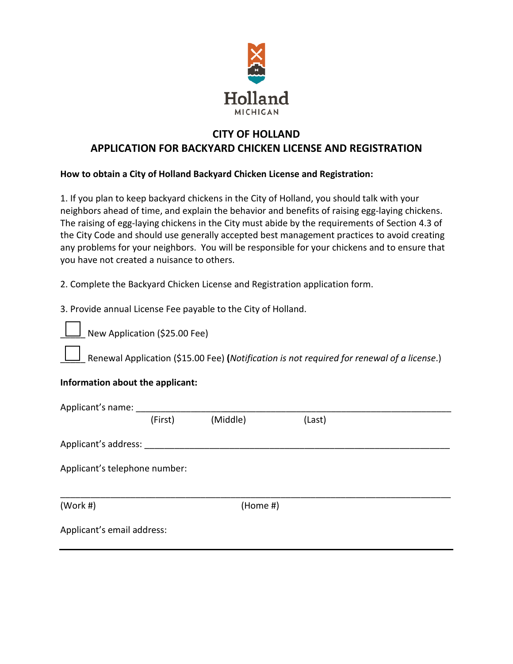

## **CITY OF HOLLAND APPLICATION FOR BACKYARD CHICKEN LICENSE AND REGISTRATION**

## **How to obtain a City of Holland Backyard Chicken License and Registration:**

1. If you plan to keep backyard chickens in the City of Holland, you should talk with your neighbors ahead of time, and explain the behavior and benefits of raising egg-laying chickens. The raising of egg-laying chickens in the City must abide by the requirements of Section 4.3 of the City Code and should use generally accepted best management practices to avoid creating any problems for your neighbors. You will be responsible for your chickens and to ensure that you have not created a nuisance to others.

2. Complete the Backyard Chicken License and Registration application form.

3. Provide annual License Fee payable to the City of Holland.

New Application (\$25.00 Fee)

\_\_\_\_\_ Renewal Application (\$15.00 Fee) **(***Notification is not required for renewal of a license*.)

## **Information about the applicant:**

| Applicant's name:             |         |            |        |
|-------------------------------|---------|------------|--------|
|                               | (First) | (Middle)   | (Last) |
| Applicant's address:          |         |            |        |
| Applicant's telephone number: |         |            |        |
| (Work #)                      |         | $(Home\#)$ |        |
| Applicant's email address:    |         |            |        |